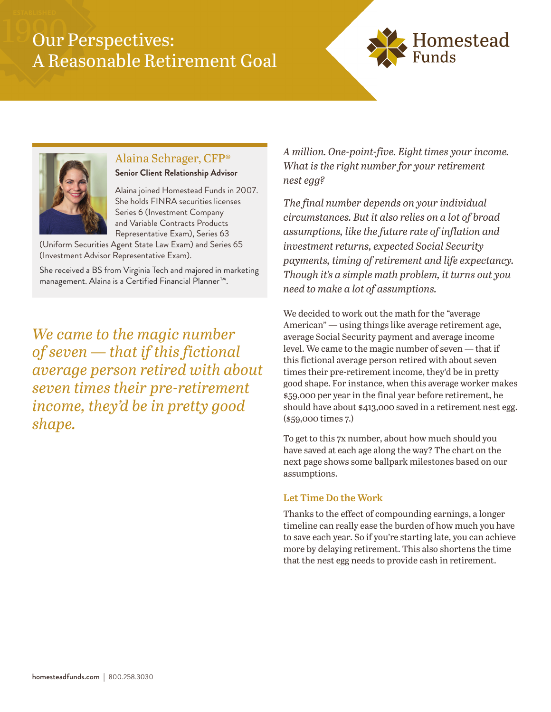# Our Perspectives: A Reasonable Retirement Goal





## Alaina Schrager, CFP®

**Senior Client Relationship Advisor**

Alaina joined Homestead Funds in 2007. She holds FINRA securities licenses Series 6 (Investment Company and Variable Contracts Products Representative Exam), Series 63

(Uniform Securities Agent State Law Exam) and Series 65 (Investment Advisor Representative Exam).

She received a BS from Virginia Tech and majored in marketing management. Alaina is a Certified Financial Planner™.

*We came to the magic number of seven — that if this fictional average person retired with about seven times their pre-retirement income, they'd be in pretty good shape.*

*A million. One-point-five. Eight times your income. What is the right number for your retirement nest egg?*

*The final number depends on your individual circumstances. But it also relies on a lot of broad assumptions, like the future rate of inflation and investment returns, expected Social Security payments, timing of retirement and life expectancy. Though it's a simple math problem, it turns out you need to make a lot of assumptions.*

We decided to work out the math for the "average American" — using things like average retirement age, average Social Security payment and average income level. We came to the magic number of seven — that if this fictional average person retired with about seven times their pre-retirement income, they'd be in pretty good shape. For instance, when this average worker makes \$59,000 per year in the final year before retirement, he should have about \$413,000 saved in a retirement nest egg. (\$59,000 times 7.)

To get to this 7x number, about how much should you have saved at each age along the way? The chart on the next page shows some ballpark milestones based on our assumptions.

### **Let Time Do the Work**

Thanks to the effect of compounding earnings, a longer timeline can really ease the burden of how much you have to save each year. So if you're starting late, you can achieve more by delaying retirement. This also shortens the time that the nest egg needs to provide cash in retirement.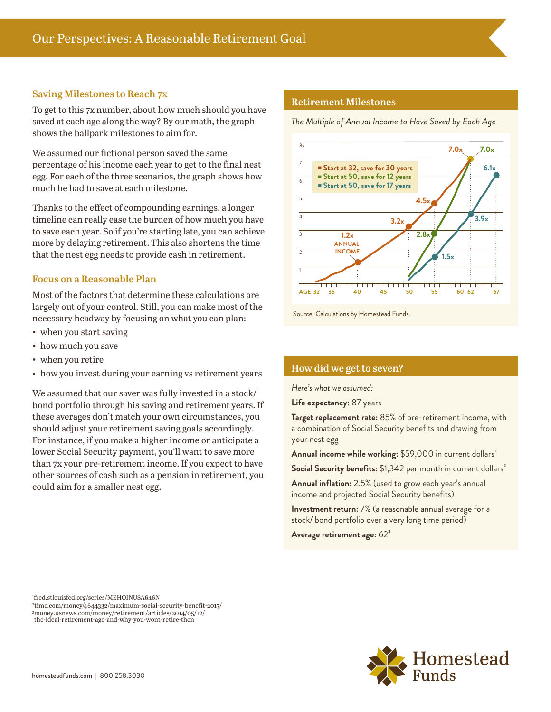#### **Saving Milestones to Reach 7x**

To get to this 7x number, about how much should you have saved at each age along the way? By our math, the graph shows the ballpark milestones to aim for.

We assumed our fictional person saved the same percentage of his income each year to get to the final nest egg. For each of the three scenarios, the graph shows how much he had to save at each milestone.

Thanks to the effect of compounding earnings, a longer timeline can really ease the burden of how much you have to save each year. So if you're starting late, you can achieve more by delaying retirement. This also shortens the time that the nest egg needs to provide cash in retirement.

#### **Focus on a Reasonable Plan**

Most of the factors that determine these calculations are largely out of your control. Still, you can make most of the necessary headway by focusing on what you can plan:

- when you start saving
- how much you save
- when you retire
- how you invest during your earning vs retirement years

We assumed that our saver was fully invested in a stock/ bond portfolio through his saving and retirement years. If these averages don't match your own circumstances, you should adjust your retirement saving goals accordingly. For instance, if you make a higher income or anticipate a lower Social Security payment, you'll want to save more than 7x your pre-retirement income. If you expect to have other sources of cash such as a pension in retirement, you could aim for a smaller nest egg.

#### **Retirement Milestones**

*The Multiple of Annual Income to Have Saved by Each Age*



Source: Calculations by Homestead Funds.

#### **How did we get to seven?**

*Here's what we assumed:*

**Life expectancy:** 87 years

**Target replacement rate:** 85% of pre-retirement income, with a combination of Social Security benefits and drawing from your nest egg

Annual income while working: \$59,000 in current dollars<sup>1</sup>

Social Security benefits: \$1,342 per month in current dollars<sup>2</sup>

**Annual inflation:** 2.5% (used to grow each year's annual income and projected Social Security benefits)

**Investment return:** 7% (a reasonable annual average for a stock/ bond portfolio over a very long time period)

**Average retirement age:** 62³

1 fred.stlouisfed.org/series/MEHOINUSA646N 2 time.com/money/4644332/maximum-social-security-benefit-2017/ <sup>3</sup>money.usnews.com/money/retirement/articles/2014/05/12/ the-ideal-retirement-age-and-why-you-wont-retire-then

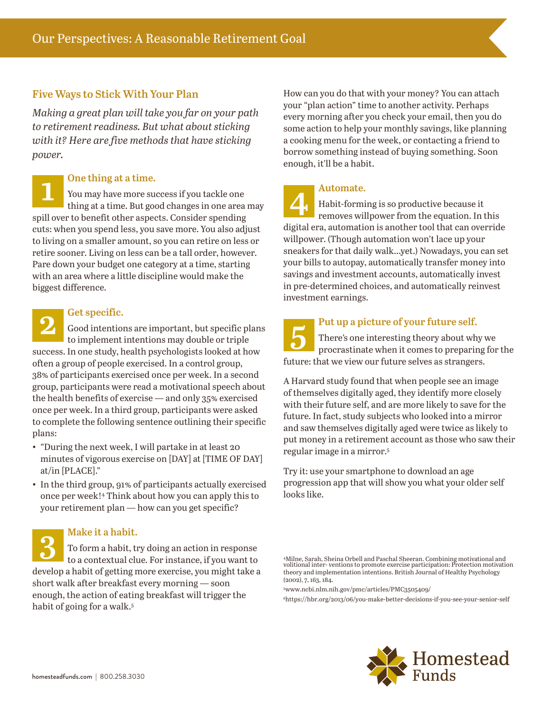### **Five Ways to Stick With Your Plan**

*Making a great plan will take you far on your path to retirement readiness. But what about sticking with it? Here are five methods that have sticking power.*

**1 Depending at a time.**<br>**1** You may have more suppose thing at a time. You may have more success if you tackle one thing at a time. But good changes in one area may spill over to benefit other aspects. Consider spending cuts: when you spend less, you save more. You also adjust to living on a smaller amount, so you can retire on less or retire sooner. Living on less can be a tall order, however. Pare down your budget one category at a time, starting with an area where a little discipline would make the biggest difference.

2<br>**2 Good intention**<br>to implement Good intentions are important, but specific plans to implement intentions may double or triple success. In one study, health psychologists looked at how often a group of people exercised. In a control group, 38% of participants exercised once per week. In a second group, participants were read a motivational speech about the health benefits of exercise — and only 35% exercised once per week. In a third group, participants were asked to complete the following sentence outlining their specific plans:

- "During the next week, I will partake in at least 20 minutes of vigorous exercise on [DAY] at [TIME OF DAY] at/in [PLACE]."
- In the third group, 91% of participants actually exercised once per week!4 Think about how you can apply this to your retirement plan — how can you get specific?

#### **Make it a habit.**

**3** To form a habit, try doing an action in response to a contextual clue. For instance, if you want to develop a habit of getting more exercise, you might take a short walk after breakfast every morning — soon enough, the action of eating breakfast will trigger the habit of going for a walk.<sup>5</sup>

How can you do that with your money? You can attach your "plan action" time to another activity. Perhaps every morning after you check your email, then you do some action to help your monthly savings, like planning a cooking menu for the week, or contacting a friend to borrow something instead of buying something. Soon enough, it'll be a habit.

#### **Automate.**

**4** Habit-forming is so productive because it removes willpower from the equation. In this digital era, automation is another tool that can override willpower. (Though automation won't lace up your sneakers for that daily walk…yet.) Nowadays, you can set your bills to autopay, automatically transfer money into savings and investment accounts, automatically invest in pre-determined choices, and automatically reinvest investment earnings.

**1 Put up a picture of your future self.**<br>There's one interesting theory about when when it comes to preparing There's one interesting theory about why we procrastinate when it comes to preparing for the future: that we view our future selves as strangers.

A Harvard study found that when people see an image of themselves digitally aged, they identify more closely with their future self, and are more likely to save for the future. In fact, study subjects who looked into a mirror and saw themselves digitally aged were twice as likely to put money in a retirement account as those who saw their regular image in a mirror.<sup>5</sup>

Try it: use your smartphone to download an age progression app that will show you what your older self looks like.

<sup>4</sup>Milne, Sarah, Sheina Orbell and Paschal Sheeran. Combining motivational and volitional inter- ventions to promote exercise participation: Protection motivation theory and implementation intentions. British Journal of Healthy Psychology (2002), 7, 163, 184.

<sup>5</sup>www.ncbi.nlm.nih.gov/pmc/articles/PMC3505409/

6https://hbr.org/2013/06/you-make-better-decisions-if-you-see-your-senior-self